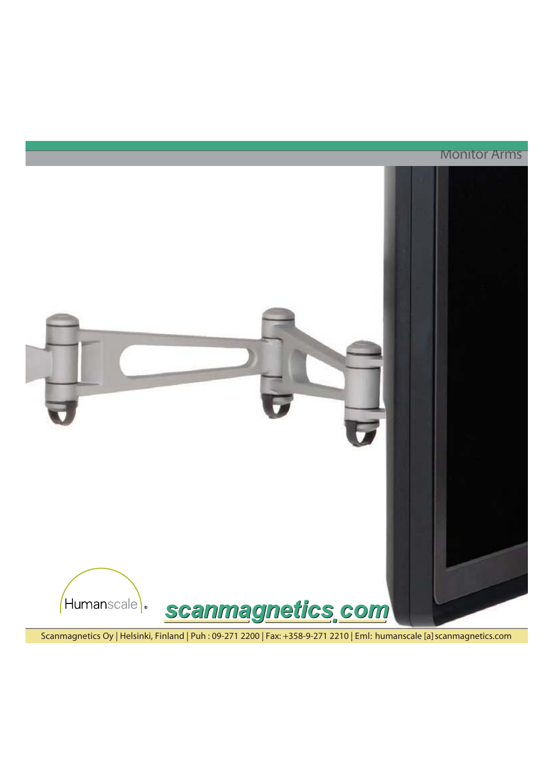**Monitor Arms** 



Scanmagnetics Oy | Helsinki, Finland | Puh: 09-271 2200 | Fax: +358-9-271 2210 | Eml: humanscale [a] scanmagnetics.com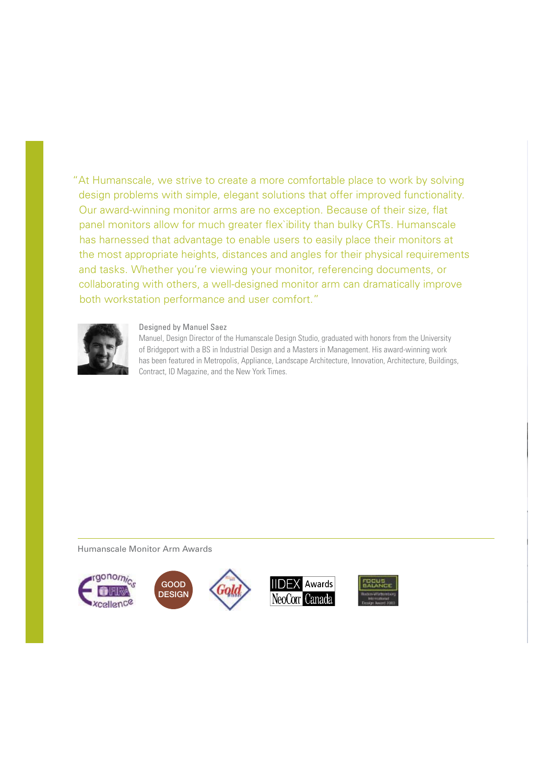"At Humanscale, we strive to create a more comfortable place to work by solving design problems with simple, elegant solutions that offer improved functionality. Our award-winning monitor arms are no exception. Because of their size, flat panel monitors allow for much greater flex`ibility than bulky CRTs. Humanscale has harnessed that advantage to enable users to easily place their monitors at the most appropriate heights, distances and angles for their physical requirements and tasks. Whether you're viewing your monitor, referencing documents, or collaborating with others, a well-designed monitor arm can dramatically improve both workstation performance and user comfort."



### Designed by Manuel Saez

Manuel, Design Director of the Humanscale Design Studio, graduated with honors from the University of Bridgeport with a BS in Industrial Design and a Masters in Management. His award-winning work has been featured in Metropolis, Appliance, Landscape Architecture, Innovation, Architecture, Buildings, Contract, ID Magazine, and the New York Times.

Humanscale Monitor Arm Awards

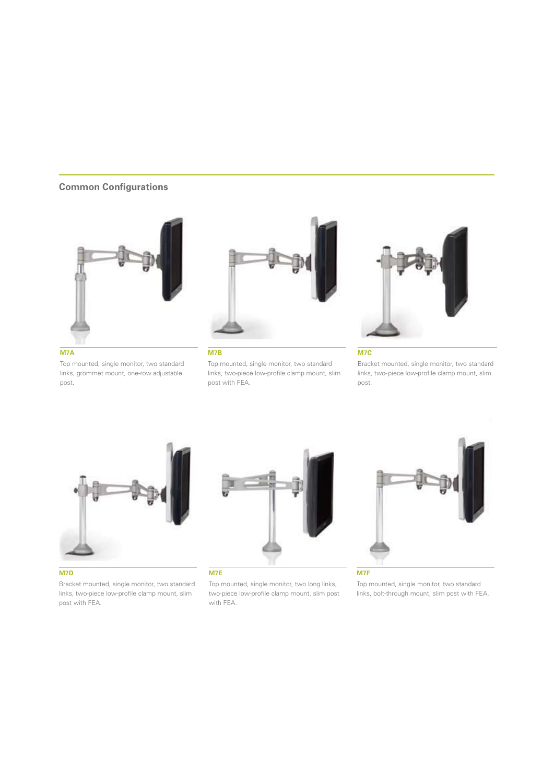### **Common Configurations**



**M7A**

Top mounted, single monitor, two standard links, grommet mount, one-row adjustable post.



#### **M7B**

Top mounted, single monitor, two standard links, two-piece low-profile clamp mount, slim post with FEA.



#### **M7C**

Bracket mounted, single monitor, two standard links, two-piece low-profile clamp mount, slim post.



#### **M7D**

Bracket mounted, single monitor, two standard links, two-piece low-profile clamp mount, slim post with FEA.



**M7E**

Top mounted, single monitor, two long links, two-piece low-profile clamp mount, slim post with FEA.



Top mounted, single monitor, two standard links, bolt-through mount, slim post with FEA.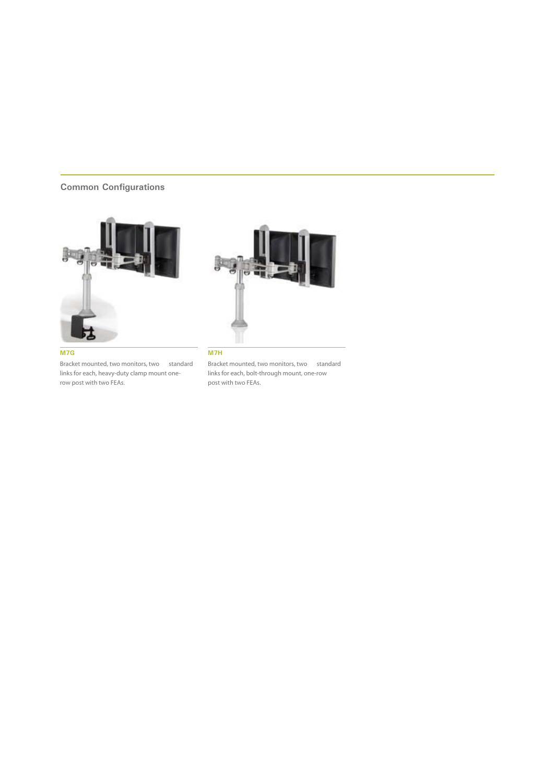## **Common Configurations**





 $\overline{M7G}$ 

Bracket mounted, two monitors, two standard links for each, heavy-duty clamp mount onerow post with two FEAs.

Bracket mounted, two monitors, two standard links for each, bolt-through mount, one-row post with two FEAs.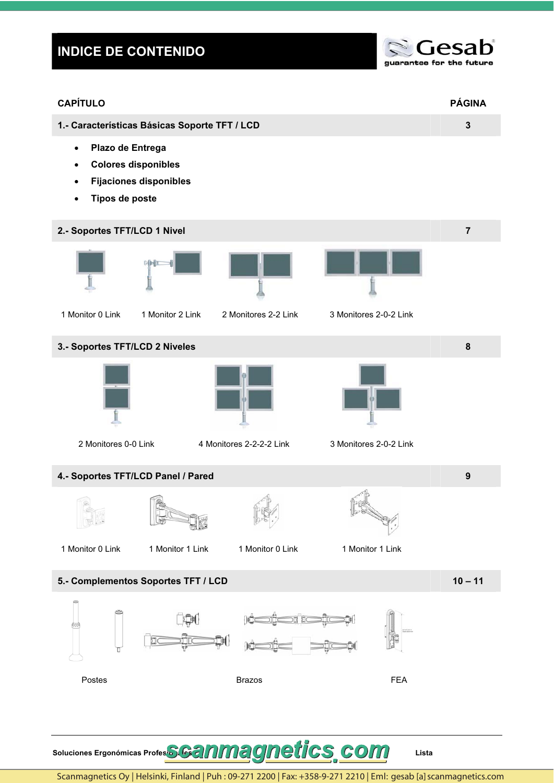## **INDICE DE CONTENIDO**



| <b>CAPÍTULO</b>                                                                                         |                               |                          |                        | <b>PÁGINA</b>  |
|---------------------------------------------------------------------------------------------------------|-------------------------------|--------------------------|------------------------|----------------|
| 1.- Características Básicas Soporte TFT / LCD                                                           |                               |                          |                        | $\mathbf{3}$   |
| Plazo de Entrega<br>$\bullet$<br><b>Colores disponibles</b><br>$\bullet$<br>$\bullet$<br>Tipos de poste | <b>Fijaciones disponibles</b> |                          |                        |                |
| 2.- Soportes TFT/LCD 1 Nivel                                                                            |                               |                          |                        | $\overline{7}$ |
|                                                                                                         | 叶画                            |                          |                        |                |
| 1 Monitor 0 Link                                                                                        | 1 Monitor 2 Link              | 2 Monitores 2-2 Link     | 3 Monitores 2-0-2 Link |                |
| 3.- Soportes TFT/LCD 2 Niveles                                                                          |                               |                          |                        | $\bf 8$        |
| 2 Monitores 0-0 Link                                                                                    |                               | 4 Monitores 2-2-2-2 Link | 3 Monitores 2-0-2 Link |                |
| 4.- Soportes TFT/LCD Panel / Pared                                                                      |                               |                          |                        | 9              |
| <b>Regional</b><br>1 Monitor 0 Link                                                                     | fin<br>1 Monitor 1 Link       | 1 Monitor 0 Link         | 1 Monitor 1 Link       |                |
| 5.- Complementos Soportes TFT / LCD                                                                     |                               |                          |                        | $10 - 11$      |
|                                                                                                         |                               |                          |                        |                |
|                                                                                                         |                               |                          |                        |                |
| Postes                                                                                                  |                               | <b>Brazos</b>            | <b>FEA</b>             |                |
|                                                                                                         |                               |                          |                        |                |
|                                                                                                         |                               |                          |                        |                |

Soluciones Ergonómicas Profes**SGanmagnetics**, com

Scanmagnetics Oy | Helsinki, Finland | Puh: 09-271 2200 | Fax: +358-9-271 2210 | Eml: gesab [a] scanmagnetics.com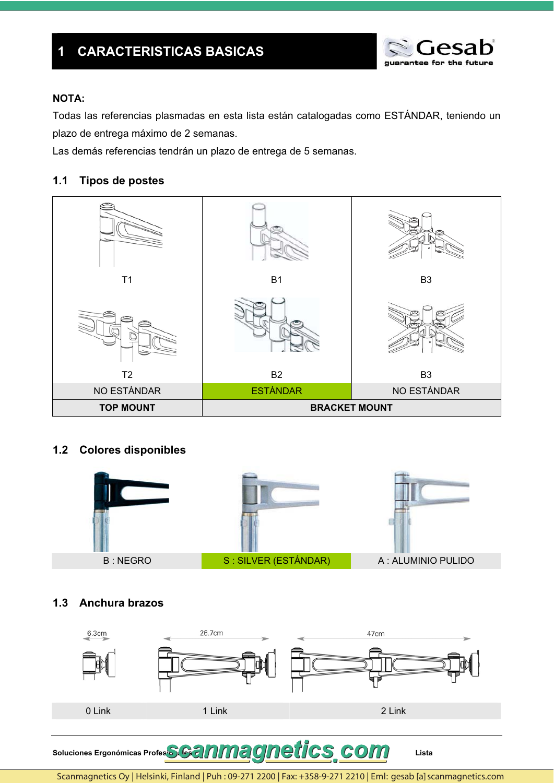

## **NOTA:**

Todas las referencias plasmadas en esta lista están catalogadas como ESTÁNDAR, teniendo un plazo de entrega máximo de 2 semanas.

Las demás referencias tendrán un plazo de entrega de 5 semanas.

#### $1.1$ **Tipos de postes**



## 1.2 Colores disponibles



## 1.3 Anchura brazos



Soluciones Ergonómicas Profes**SGanmagnetics**, com

Scanmagnetics Oy | Helsinki, Finland | Puh: 09-271 2200 | Fax: +358-9-271 2210 | Eml: gesab [a] scanmagnetics.com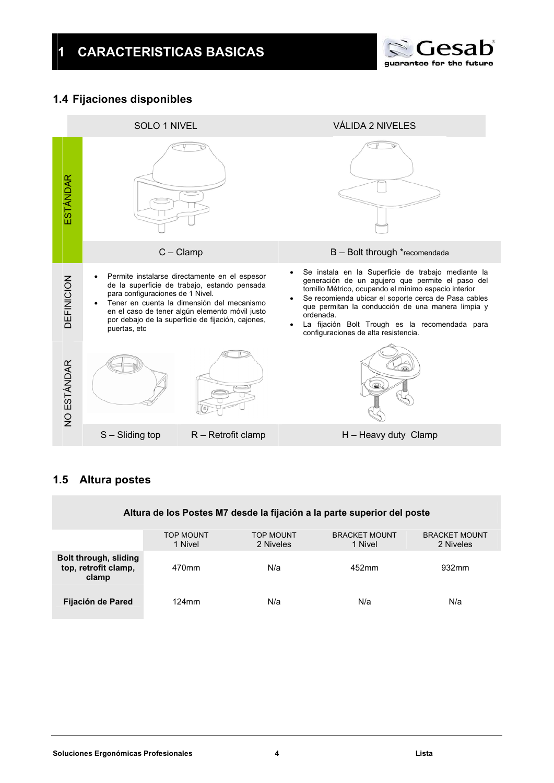

## **1.4 Fijaciones disponibles**



## **1.5 Altura postes**

## **Altura de los Postes M7 desde la fijación a la parte superior del poste**

|                                                        | <b>TOP MOUNT</b><br>1 Nivel | <b>TOP MOUNT</b><br>2 Niveles | <b>BRACKET MOUNT</b><br>1 Nivel | <b>BRACKET MOUNT</b><br>2 Niveles |
|--------------------------------------------------------|-----------------------------|-------------------------------|---------------------------------|-----------------------------------|
| Bolt through, sliding<br>top, retrofit clamp,<br>clamp | 470mm                       | N/a                           | 452mm                           | 932mm                             |
| Fijación de Pared                                      | $124$ mm                    | N/a                           | N/a                             | N/a                               |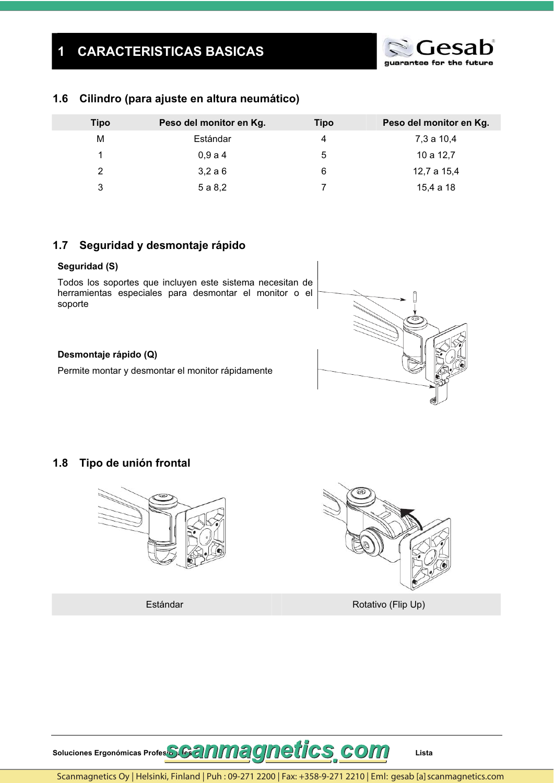

#### $1.6$ Cilindro (para ajuste en altura neumático)

| <b>Tipo</b> | Peso del monitor en Kg. | <b>Tipo</b> | Peso del monitor en Kg. |
|-------------|-------------------------|-------------|-------------------------|
| М           | Estándar                |             | 7,3 a 10,4              |
| 1           | 0,9a4                   | 5           | 10 a 12,7               |
| 2           | 3,2a6                   | 6           | 12,7 a 15,4             |
| 3           | 5 a 8,2                 |             | 15,4 a 18               |

#### Seguridad y desmontaje rápido  $1.7$

### Seguridad (S)

Todos los soportes que incluyen este sistema necesitan de herramientas especiales para desmontar el monitor o el soporte

### Desmontaje rápido (Q)

Permite montar y desmontar el monitor rápidamente

#### Tipo de unión frontal  $1.8$



Estándar



Rotativo (Flip Up)

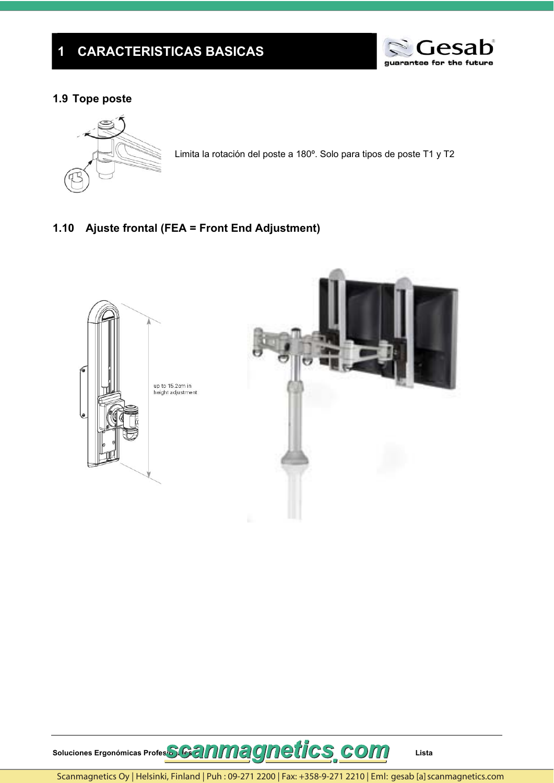

## 1.9 Tope poste



Limita la rotación del poste a 180°. Solo para tipos de poste T1 y T2

## 1.10 Ajuste frontal (FEA = Front End Adjustment)





Scanmagnetics Oy | Helsinki, Finland | Puh: 09-271 2200 | Fax: +358-9-271 2210 | Eml: gesab [a] scanmagnetics.com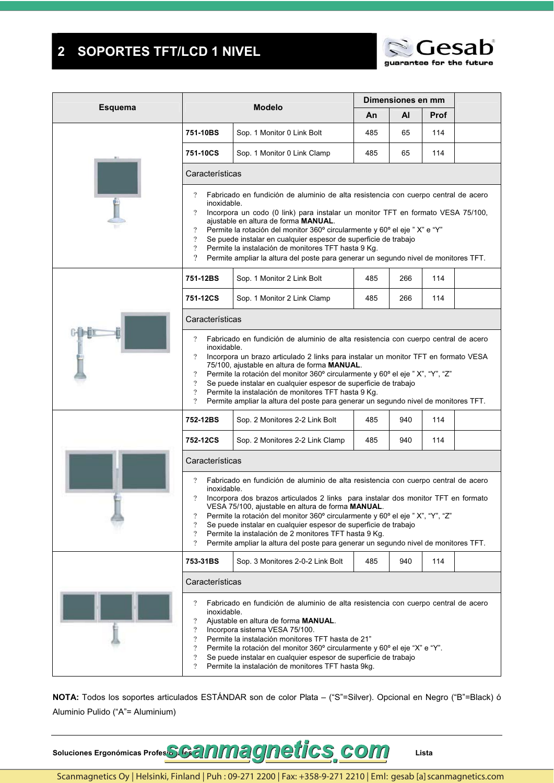#### **SOPORTES TFT/LCD 1 NIVEL**  $\overline{\mathbf{2}}$



| <b>Esquema</b> |                                                                                                                                         | <b>Modelo</b>                                                                                                                                                                                                                                                                                                                                                                                                                                                                                                                    |                                                                                                                                                                                                                                     | Dimensiones en mm |      |  |  |  |  |  |  |  |  |
|----------------|-----------------------------------------------------------------------------------------------------------------------------------------|----------------------------------------------------------------------------------------------------------------------------------------------------------------------------------------------------------------------------------------------------------------------------------------------------------------------------------------------------------------------------------------------------------------------------------------------------------------------------------------------------------------------------------|-------------------------------------------------------------------------------------------------------------------------------------------------------------------------------------------------------------------------------------|-------------------|------|--|--|--|--|--|--|--|--|
|                |                                                                                                                                         |                                                                                                                                                                                                                                                                                                                                                                                                                                                                                                                                  | An                                                                                                                                                                                                                                  | ΑI                | Prof |  |  |  |  |  |  |  |  |
|                | 751-10BS                                                                                                                                | Sop. 1 Monitor 0 Link Bolt                                                                                                                                                                                                                                                                                                                                                                                                                                                                                                       | 485                                                                                                                                                                                                                                 | 65                | 114  |  |  |  |  |  |  |  |  |
|                | 751-10CS                                                                                                                                | Sop. 1 Monitor 0 Link Clamp                                                                                                                                                                                                                                                                                                                                                                                                                                                                                                      | 485                                                                                                                                                                                                                                 | 65                | 114  |  |  |  |  |  |  |  |  |
|                | Características                                                                                                                         |                                                                                                                                                                                                                                                                                                                                                                                                                                                                                                                                  |                                                                                                                                                                                                                                     |                   |      |  |  |  |  |  |  |  |  |
|                | $\gamma$<br>inoxidable.<br>$\overline{?}$<br>$\overline{?}$<br>$\overline{?}$<br>$\overline{?}$<br>$\overline{\mathcal{L}}$             | Fabricado en fundición de aluminio de alta resistencia con cuerpo central de acero<br>Incorpora un codo (0 link) para instalar un monitor TFT en formato VESA 75/100,<br>ajustable en altura de forma MANUAL.<br>Permite la rotación del monitor 360° circularmente y 60° el eje "X" e "Y"<br>Se puede instalar en cualquier espesor de superficie de trabajo<br>Permite la instalación de monitores TFT hasta 9 Kg.<br>Permite ampliar la altura del poste para generar un segundo nivel de monitores TFT.                      |                                                                                                                                                                                                                                     |                   |      |  |  |  |  |  |  |  |  |
|                | 751-12BS                                                                                                                                | Sop. 1 Monitor 2 Link Bolt                                                                                                                                                                                                                                                                                                                                                                                                                                                                                                       | 485                                                                                                                                                                                                                                 | 266               | 114  |  |  |  |  |  |  |  |  |
|                | 751-12CS                                                                                                                                | Sop. 1 Monitor 2 Link Clamp                                                                                                                                                                                                                                                                                                                                                                                                                                                                                                      | 485                                                                                                                                                                                                                                 | 266               | 114  |  |  |  |  |  |  |  |  |
|                | Características                                                                                                                         |                                                                                                                                                                                                                                                                                                                                                                                                                                                                                                                                  |                                                                                                                                                                                                                                     |                   |      |  |  |  |  |  |  |  |  |
|                | $\gamma$<br>inoxidable.<br>$\overline{?}$<br>$\overline{?}$<br>$\overline{?}$<br>$\overline{?}$<br>$\gamma$                             | Fabricado en fundición de aluminio de alta resistencia con cuerpo central de acero<br>Incorpora un brazo articulado 2 links para instalar un monitor TFT en formato VESA<br>75/100, ajustable en altura de forma MANUAL.<br>Permite la rotación del monitor 360° circularmente y 60° el eje "X", "Y", "Z"<br>Se puede instalar en cualquier espesor de superficie de trabajo<br>Permite la instalación de monitores TFT hasta 9 Kg.<br>Permite ampliar la altura del poste para generar un segundo nivel de monitores TFT.       |                                                                                                                                                                                                                                     |                   |      |  |  |  |  |  |  |  |  |
|                | 752-12BS                                                                                                                                | 114                                                                                                                                                                                                                                                                                                                                                                                                                                                                                                                              |                                                                                                                                                                                                                                     |                   |      |  |  |  |  |  |  |  |  |
|                | 752-12CS<br>Sop. 2 Monitores 2-2 Link Clamp<br>485<br>940<br>114                                                                        |                                                                                                                                                                                                                                                                                                                                                                                                                                                                                                                                  |                                                                                                                                                                                                                                     |                   |      |  |  |  |  |  |  |  |  |
|                | Características                                                                                                                         |                                                                                                                                                                                                                                                                                                                                                                                                                                                                                                                                  |                                                                                                                                                                                                                                     |                   |      |  |  |  |  |  |  |  |  |
|                | $\gamma$<br>inoxidable.<br>$\gamma$<br>$\overline{\cdot}$<br>$\overline{?}$<br>$\overline{?}$<br>$\overline{\cdot}$                     | Fabricado en fundición de aluminio de alta resistencia con cuerpo central de acero<br>Incorpora dos brazos articulados 2 links para instalar dos monitor TFT en formato<br>VESA 75/100, aiustable en altura de forma MANUAL.<br>Permite la rotación del monitor 360° circularmente y 60° el eje "X", "Y", "Z"<br>Se puede instalar en cualquier espesor de superficie de trabajo<br>Permite la instalación de 2 monitores TFT hasta 9 Kg.<br>Permite ampliar la altura del poste para generar un segundo nivel de monitores TFT. |                                                                                                                                                                                                                                     |                   |      |  |  |  |  |  |  |  |  |
|                | 753-31BS                                                                                                                                | Sop. 3 Monitores 2-0-2 Link Bolt                                                                                                                                                                                                                                                                                                                                                                                                                                                                                                 | 485                                                                                                                                                                                                                                 | 940               | 114  |  |  |  |  |  |  |  |  |
|                | Características                                                                                                                         |                                                                                                                                                                                                                                                                                                                                                                                                                                                                                                                                  |                                                                                                                                                                                                                                     |                   |      |  |  |  |  |  |  |  |  |
|                | $\gamma$<br>inoxidable.<br>$\overline{?}$<br>$\overline{?}$<br>$\overline{?}$<br>$\overline{?}$<br>$\overline{\cdot}$<br>$\overline{?}$ | Ajustable en altura de forma MANUAL.<br>Incorpora sistema VESA 75/100.<br>Permite la instalación monitores TFT hasta de 21"<br>Permite la instalación de monitores TFT hasta 9kg.                                                                                                                                                                                                                                                                                                                                                | Fabricado en fundición de aluminio de alta resistencia con cuerpo central de acero<br>Permite la rotación del monitor 360° circularmente y 60° el eje "X" e "Y".<br>Se puede instalar en cualquier espesor de superficie de trabajo |                   |      |  |  |  |  |  |  |  |  |

NOTA: Todos los soportes articulados ESTÁNDAR son de color Plata - ("S"=Silver). Opcional en Negro ("B"=Black) ó Aluminio Pulido ("A"= Aluminium)



Lista

Scanmagnetics Oy | Helsinki, Finland | Puh: 09-271 2200 | Fax: +358-9-271 2210 | Eml: gesab [a] scanmagnetics.com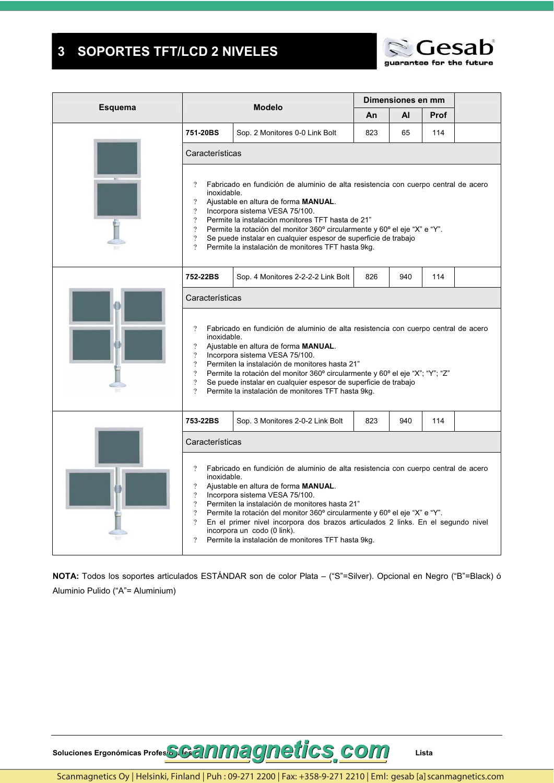#### **SOPORTES TFT/LCD 2 NIVELES**  $\overline{\mathbf{3}}$



| <b>Esquema</b> |                                                                                                                                                   | <b>Modelo</b>                                                                                                                                                                                                                                                                                                                                                                                                                                                         |     | Dimensiones en mm |             |  |
|----------------|---------------------------------------------------------------------------------------------------------------------------------------------------|-----------------------------------------------------------------------------------------------------------------------------------------------------------------------------------------------------------------------------------------------------------------------------------------------------------------------------------------------------------------------------------------------------------------------------------------------------------------------|-----|-------------------|-------------|--|
|                |                                                                                                                                                   |                                                                                                                                                                                                                                                                                                                                                                                                                                                                       | An. | AI                | <b>Prof</b> |  |
|                | 751-20BS                                                                                                                                          | Sop. 2 Monitores 0-0 Link Bolt                                                                                                                                                                                                                                                                                                                                                                                                                                        | 823 | 65                | 114         |  |
|                | Características                                                                                                                                   |                                                                                                                                                                                                                                                                                                                                                                                                                                                                       |     |                   |             |  |
|                | $\overline{?}$<br>inoxidable.<br>$\overline{?}$<br>$\overline{?}$<br>$\overline{?}$<br>$\overline{?}$<br>$\overline{?}$<br>$\overline{?}$         | Fabricado en fundición de aluminio de alta resistencia con cuerpo central de acero<br>Ajustable en altura de forma MANUAL.<br>Incorpora sistema VESA 75/100.<br>Permite la instalación monitores TFT hasta de 21"<br>Permite la rotación del monitor 360° circularmente y 60° el eje "X" e "Y".<br>Se puede instalar en cualquier espesor de superficie de trabajo<br>Permite la instalación de monitores TFT hasta 9kg.                                              |     |                   |             |  |
|                | 752-22BS                                                                                                                                          | Sop. 4 Monitores 2-2-2-2 Link Bolt                                                                                                                                                                                                                                                                                                                                                                                                                                    | 826 | 940               | 114         |  |
|                | Características                                                                                                                                   |                                                                                                                                                                                                                                                                                                                                                                                                                                                                       |     |                   |             |  |
|                | $\gamma$<br>inoxidable.<br>$\overline{?}$<br>$\overline{?}$<br>$\overline{?}$<br>$\overline{?}$<br>$\overline{?}$<br>$\gamma$                     | Fabricado en fundición de aluminio de alta resistencia con cuerpo central de acero<br>Ajustable en altura de forma <b>MANUAL</b> .<br>Incorpora sistema VESA 75/100.<br>Permiten la instalación de monitores hasta 21"<br>Permite la rotación del monitor 360° circularmente y 60° el eje "X"; "Y"; "Z"<br>Se puede instalar en cualquier espesor de superficie de trabajo<br>Permite la instalación de monitores TFT hasta 9kg.                                      |     |                   |             |  |
|                | 753-22BS                                                                                                                                          | Sop. 3 Monitores 2-0-2 Link Bolt                                                                                                                                                                                                                                                                                                                                                                                                                                      | 823 | 940               | 114         |  |
|                | Características                                                                                                                                   |                                                                                                                                                                                                                                                                                                                                                                                                                                                                       |     |                   |             |  |
|                | $\gamma$<br>inoxidable.<br>$\overline{\mathcal{L}}$<br>$\overline{\mathcal{L}}$<br>$\overline{?}$<br>$\overline{?}$<br>$\overline{?}$<br>$\gamma$ | Fabricado en fundición de aluminio de alta resistencia con cuerpo central de acero<br>Ajustable en altura de forma MANUAL.<br>Incorpora sistema VESA 75/100.<br>Permiten la instalación de monitores hasta 21"<br>Permite la rotación del monitor 360° circularmente y 60° el eje "X" e "Y".<br>En el primer nivel incorpora dos brazos articulados 2 links. En el segundo nivel<br>incorpora un codo (0 link).<br>Permite la instalación de monitores TFT hasta 9kg. |     |                   |             |  |

NOTA: Todos los soportes articulados ESTÁNDAR son de color Plata - ("S"=Silver). Opcional en Negro ("B"=Black) ó Aluminio Pulido ("A"= Aluminium)

Soluciones Ergonómicas Profes**SGanmagnetics**, com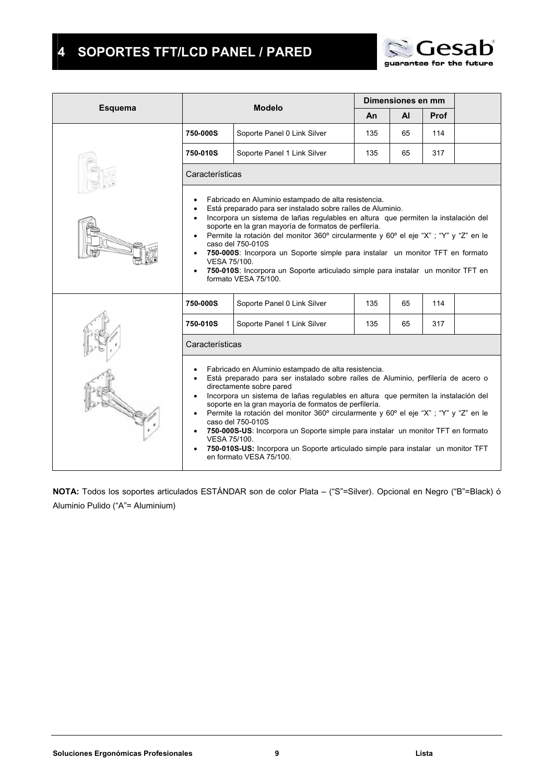## **4 SOPORTES TFT/LCD PANEL / PARED**



|         | Dimensiones en mm<br><b>Modelo</b> |                                                                                                                                                                                                                                                                                                                                                                                                                                                                                                                                                                                                                                       |     |    |      |  |  |  |  |  |  |
|---------|------------------------------------|---------------------------------------------------------------------------------------------------------------------------------------------------------------------------------------------------------------------------------------------------------------------------------------------------------------------------------------------------------------------------------------------------------------------------------------------------------------------------------------------------------------------------------------------------------------------------------------------------------------------------------------|-----|----|------|--|--|--|--|--|--|
| Esquema |                                    |                                                                                                                                                                                                                                                                                                                                                                                                                                                                                                                                                                                                                                       | An  | AI | Prof |  |  |  |  |  |  |
|         | 750-000S                           | Soporte Panel 0 Link Silver                                                                                                                                                                                                                                                                                                                                                                                                                                                                                                                                                                                                           | 135 | 65 | 114  |  |  |  |  |  |  |
|         | 750-010S                           | Soporte Panel 1 Link Silver                                                                                                                                                                                                                                                                                                                                                                                                                                                                                                                                                                                                           | 135 | 65 | 317  |  |  |  |  |  |  |
|         | Características                    |                                                                                                                                                                                                                                                                                                                                                                                                                                                                                                                                                                                                                                       |     |    |      |  |  |  |  |  |  |
|         | VESA 75/100.                       | Fabricado en Aluminio estampado de alta resistencia.<br>Está preparado para ser instalado sobre raíles de Aluminio.<br>Incorpora un sistema de lañas regulables en altura que permiten la instalación del<br>soporte en la gran mayoría de formatos de perfilería.<br>Permite la rotación del monitor 360° circularmente y 60° el eje "X" ; "Y" y "Z" en le<br>caso del 750-010S<br>750-000S: Incorpora un Soporte simple para instalar un monitor TFT en formato<br>750-010S: Incorpora un Soporte articulado simple para instalar un monitor TFT en<br>formato VESA 75/100.                                                         |     |    |      |  |  |  |  |  |  |
|         | 750-000S                           | Soporte Panel 0 Link Silver                                                                                                                                                                                                                                                                                                                                                                                                                                                                                                                                                                                                           | 135 | 65 | 114  |  |  |  |  |  |  |
|         | 750-010S                           | Soporte Panel 1 Link Silver                                                                                                                                                                                                                                                                                                                                                                                                                                                                                                                                                                                                           | 135 | 65 | 317  |  |  |  |  |  |  |
|         | Características                    |                                                                                                                                                                                                                                                                                                                                                                                                                                                                                                                                                                                                                                       |     |    |      |  |  |  |  |  |  |
|         | VESA 75/100.                       | Fabricado en Aluminio estampado de alta resistencia.<br>Está preparado para ser instalado sobre raíles de Aluminio, perfilería de acero o<br>directamente sobre pared<br>Incorpora un sistema de lañas regulables en altura que permiten la instalación del<br>soporte en la gran mayoría de formatos de perfilería.<br>Permite la rotación del monitor 360° circularmente y 60° el eje "X" ; "Y" y "Z" en le<br>caso del 750-010S<br>750-000S-US: Incorpora un Soporte simple para instalar un monitor TFT en formato<br>750-010S-US: Incorpora un Soporte articulado simple para instalar un monitor TFT<br>en formato VESA 75/100. |     |    |      |  |  |  |  |  |  |

**NOTA:** Todos los soportes articulados ESTÁNDAR son de color Plata – ("S"=Silver). Opcional en Negro ("B"=Black) ó Aluminio Pulido ("A"= Aluminium)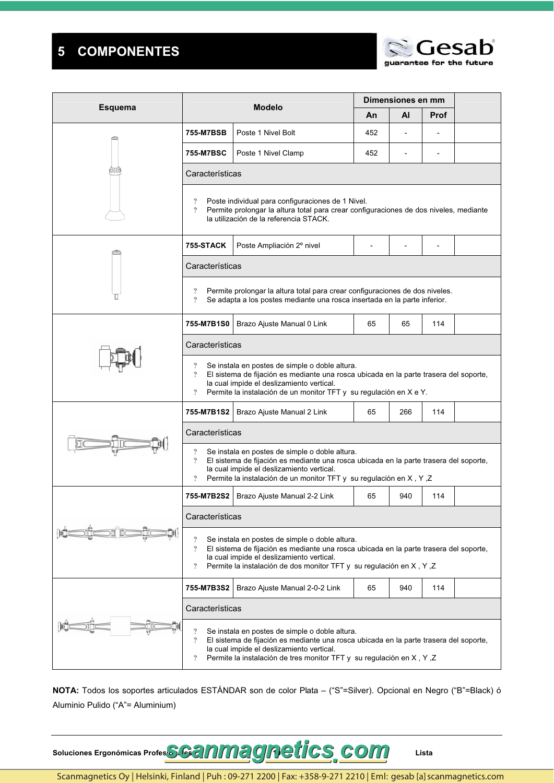#### **COMPONENTES**  $\overline{\mathbf{5}}$



|                |                                                                                                                                                                                                                                                                                                          | <b>Modelo</b>                                                                                                                                                                                                                                                |                                                                                       | Dimensiones en mm |             |  |  |  |  |  |  |  |
|----------------|----------------------------------------------------------------------------------------------------------------------------------------------------------------------------------------------------------------------------------------------------------------------------------------------------------|--------------------------------------------------------------------------------------------------------------------------------------------------------------------------------------------------------------------------------------------------------------|---------------------------------------------------------------------------------------|-------------------|-------------|--|--|--|--|--|--|--|
| <b>Esquema</b> |                                                                                                                                                                                                                                                                                                          |                                                                                                                                                                                                                                                              | An                                                                                    | AI                | <b>Prof</b> |  |  |  |  |  |  |  |
|                | 755-M7BSB                                                                                                                                                                                                                                                                                                | Poste 1 Nivel Bolt                                                                                                                                                                                                                                           | 452                                                                                   |                   |             |  |  |  |  |  |  |  |
|                | 755-M7BSC                                                                                                                                                                                                                                                                                                | Poste 1 Nivel Clamp                                                                                                                                                                                                                                          | 452                                                                                   |                   |             |  |  |  |  |  |  |  |
|                | Características                                                                                                                                                                                                                                                                                          |                                                                                                                                                                                                                                                              |                                                                                       |                   |             |  |  |  |  |  |  |  |
|                | $\overline{\cdot}$<br>$\overline{?}$                                                                                                                                                                                                                                                                     | Poste individual para configuraciones de 1 Nivel.<br>Permite prolongar la altura total para crear configuraciones de dos niveles, mediante<br>la utilización de la referencia STACK.                                                                         |                                                                                       |                   |             |  |  |  |  |  |  |  |
|                | 755-STACK                                                                                                                                                                                                                                                                                                | Poste Ampliación 2º nivel                                                                                                                                                                                                                                    |                                                                                       |                   |             |  |  |  |  |  |  |  |
|                | Características                                                                                                                                                                                                                                                                                          |                                                                                                                                                                                                                                                              |                                                                                       |                   |             |  |  |  |  |  |  |  |
|                | ?<br>$\overline{?}$                                                                                                                                                                                                                                                                                      | Permite prolongar la altura total para crear configuraciones de dos niveles.<br>Se adapta a los postes mediante una rosca insertada en la parte inferior.                                                                                                    |                                                                                       |                   |             |  |  |  |  |  |  |  |
|                | 755-M7B1S0                                                                                                                                                                                                                                                                                               | Brazo Ajuste Manual 0 Link                                                                                                                                                                                                                                   | 65                                                                                    | 65                | 114         |  |  |  |  |  |  |  |
|                | Características                                                                                                                                                                                                                                                                                          |                                                                                                                                                                                                                                                              |                                                                                       |                   |             |  |  |  |  |  |  |  |
|                | $\overline{\cdot}$<br>Se instala en postes de simple o doble altura.<br>$\overline{?}$<br>la cual impide el deslizamiento vertical.<br>$\overline{?}$<br>Permite la instalación de un monitor TFT y su regulación en X e Y.                                                                              |                                                                                                                                                                                                                                                              | El sistema de fijación es mediante una rosca ubicada en la parte trasera del soporte, |                   |             |  |  |  |  |  |  |  |
|                | 755-M7B1S2                                                                                                                                                                                                                                                                                               | Brazo Ajuste Manual 2 Link                                                                                                                                                                                                                                   | 65                                                                                    | 266               | 114         |  |  |  |  |  |  |  |
|                | Características                                                                                                                                                                                                                                                                                          |                                                                                                                                                                                                                                                              |                                                                                       |                   |             |  |  |  |  |  |  |  |
|                | $\overline{\cdot}$<br>Se instala en postes de simple o doble altura.<br>$\overline{?}$<br>El sistema de fijación es mediante una rosca ubicada en la parte trasera del soporte,<br>la cual impide el deslizamiento vertical.<br>?<br>Permite la instalación de un monitor TFT y su regulación en X, Y, Z |                                                                                                                                                                                                                                                              |                                                                                       |                   |             |  |  |  |  |  |  |  |
|                |                                                                                                                                                                                                                                                                                                          | 755-M7B2S2   Brazo Ajuste Manual 2-2 Link                                                                                                                                                                                                                    | 65                                                                                    | 940               | 114         |  |  |  |  |  |  |  |
|                | Características                                                                                                                                                                                                                                                                                          |                                                                                                                                                                                                                                                              |                                                                                       |                   |             |  |  |  |  |  |  |  |
|                | ?<br>$\overline{\cdot}$                                                                                                                                                                                                                                                                                  | Se instala en postes de simple o doble altura.<br>El sistema de fijación es mediante una rosca ubicada en la parte trasera del soporte.<br>la cual impide el deslizamiento vertical.<br>Permite la instalación de dos monitor TFT y su regulación en X, Y, Z |                                                                                       |                   |             |  |  |  |  |  |  |  |
|                | 755-M7B3S2                                                                                                                                                                                                                                                                                               | Brazo Ajuste Manual 2-0-2 Link                                                                                                                                                                                                                               | 65                                                                                    | 940               | 114         |  |  |  |  |  |  |  |
|                | Características                                                                                                                                                                                                                                                                                          |                                                                                                                                                                                                                                                              |                                                                                       |                   |             |  |  |  |  |  |  |  |
|                | Se instala en postes de simple o doble altura.<br>$\gamma$<br>El sistema de fijación es mediante una rosca ubicada en la parte trasera del soporte,<br>la cual impide el deslizamiento vertical.<br>Permite la instalación de tres monitor TFT y su regulación en X, Y, Z<br>?                           |                                                                                                                                                                                                                                                              |                                                                                       |                   |             |  |  |  |  |  |  |  |

NOTA: Todos los soportes articulados ESTÁNDAR son de color Plata - ("S"=Silver). Opcional en Negro ("B"=Black) ó Aluminio Pulido ("A"= Aluminium)

Soluciones Ergonómicas Profes**SG3NM30Retics**, COM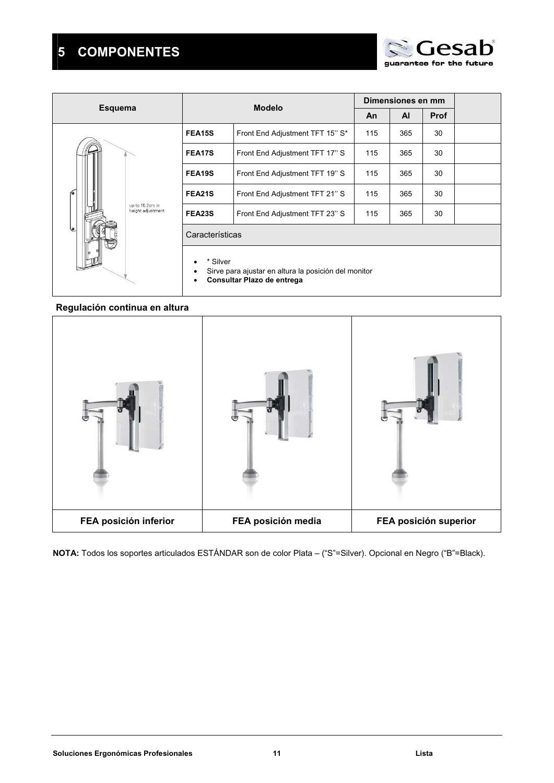## **5 COMPONENTES**

|                                      |                 | <b>Modelo</b>                                                                      |           | Dimensiones en mm |      |  |
|--------------------------------------|-----------------|------------------------------------------------------------------------------------|-----------|-------------------|------|--|
| <b>Esquema</b>                       |                 |                                                                                    | <b>An</b> | $\mathsf{A}$      | Prof |  |
|                                      | FEA15S          | Front End Adjustment TFT 15" S*                                                    | 115       | 365               | 30   |  |
|                                      | FEA17S          | Front End Adjustment TFT 17" S                                                     | 115       | 365               | 30   |  |
|                                      | FEA19S          | Front End Adjustment TFT 19" S                                                     | 115       | 365               | 30   |  |
|                                      | FEA21S          | Front End Adjustment TFT 21" S                                                     | 115       | 365               | 30   |  |
| up to 15.2cm in<br>height adjustment | FEA23S          | Front End Adjustment TFT 23" S                                                     | 115       | 365               | 30   |  |
|                                      | Características |                                                                                    |           |                   |      |  |
|                                      | * Silver        | Sirve para ajustar en altura la posición del monitor<br>Consultar Plazo de entrega |           |                   |      |  |

## **Regulación continua en altura**



**NOTA:** Todos los soportes articulados ESTÁNDAR son de color Plata – ("S"=Silver). Opcional en Negro ("B"=Black).

 $AC$ 

guarantee for the future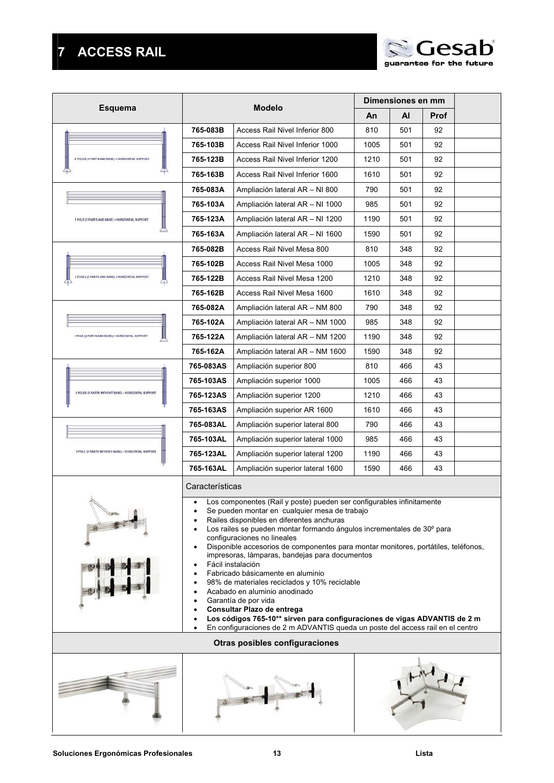# **7 ACCESS RAIL**

|                                                     |                 |                                                                                                                                                                                                                                                                                                                                                                                                                                                                                                                                                                                                                                                                                                                                                                                       |      | Dimensiones en mm |      |  |
|-----------------------------------------------------|-----------------|---------------------------------------------------------------------------------------------------------------------------------------------------------------------------------------------------------------------------------------------------------------------------------------------------------------------------------------------------------------------------------------------------------------------------------------------------------------------------------------------------------------------------------------------------------------------------------------------------------------------------------------------------------------------------------------------------------------------------------------------------------------------------------------|------|-------------------|------|--|
| <b>Esquema</b>                                      |                 | <b>Modelo</b>                                                                                                                                                                                                                                                                                                                                                                                                                                                                                                                                                                                                                                                                                                                                                                         | An   | Al                | Prof |  |
|                                                     | 765-083B        | Access Rail Nivel Inferior 800                                                                                                                                                                                                                                                                                                                                                                                                                                                                                                                                                                                                                                                                                                                                                        | 810  | 501               | 92   |  |
|                                                     | 765-103B        | Access Rail Nivel Inferior 1000                                                                                                                                                                                                                                                                                                                                                                                                                                                                                                                                                                                                                                                                                                                                                       | 1005 | 501               | 92   |  |
| 2 POLES (3 PARTS AND BASE) + HORIZONTAL SUPPORT     | 765-123B        | Access Rail Nivel Inferior 1200                                                                                                                                                                                                                                                                                                                                                                                                                                                                                                                                                                                                                                                                                                                                                       | 1210 | 501               | 92   |  |
|                                                     | 765-163B        | Access Rail Nivel Inferior 1600                                                                                                                                                                                                                                                                                                                                                                                                                                                                                                                                                                                                                                                                                                                                                       | 1610 | 501               | 92   |  |
|                                                     | 765-083A        | Ampliación lateral AR - NI 800                                                                                                                                                                                                                                                                                                                                                                                                                                                                                                                                                                                                                                                                                                                                                        | 790  | 501               | 92   |  |
|                                                     | 765-103A        | Ampliación lateral AR - NI 1000                                                                                                                                                                                                                                                                                                                                                                                                                                                                                                                                                                                                                                                                                                                                                       | 985  | 501               | 92   |  |
| 1 POLE (3 PARTS AND BASE) + HORIZONTAL SUPPORT      | 765-123A        | Ampliación lateral AR - NI 1200                                                                                                                                                                                                                                                                                                                                                                                                                                                                                                                                                                                                                                                                                                                                                       | 1190 | 501               | 92   |  |
|                                                     | 765-163A        | Ampliación lateral AR - NI 1600                                                                                                                                                                                                                                                                                                                                                                                                                                                                                                                                                                                                                                                                                                                                                       | 1590 | 501               | 92   |  |
|                                                     | 765-082B        | Access Rail Nivel Mesa 800                                                                                                                                                                                                                                                                                                                                                                                                                                                                                                                                                                                                                                                                                                                                                            | 810  | 348               | 92   |  |
|                                                     | 765-102B        | Access Rail Nivel Mesa 1000                                                                                                                                                                                                                                                                                                                                                                                                                                                                                                                                                                                                                                                                                                                                                           | 1005 | 348               | 92   |  |
| 2 POLES (2 PARTS AND BASE) - HORIZONTAL SUPPORT     | 765-122B        | Access Rail Nivel Mesa 1200                                                                                                                                                                                                                                                                                                                                                                                                                                                                                                                                                                                                                                                                                                                                                           | 1210 | 348               | 92   |  |
|                                                     | 765-162B        | Access Rail Nivel Mesa 1600                                                                                                                                                                                                                                                                                                                                                                                                                                                                                                                                                                                                                                                                                                                                                           | 1610 | 348               | 92   |  |
|                                                     | 765-082A        | Ampliación lateral AR - NM 800                                                                                                                                                                                                                                                                                                                                                                                                                                                                                                                                                                                                                                                                                                                                                        | 790  | 348               | 92   |  |
|                                                     | 765-102A        | Ampliación lateral AR - NM 1000                                                                                                                                                                                                                                                                                                                                                                                                                                                                                                                                                                                                                                                                                                                                                       | 985  | 348               | 92   |  |
| 1 POLE (2 PARTS AND BASE) + HORIZONTAL SUPPORT      | 765-122A        | Ampliación lateral AR - NM 1200                                                                                                                                                                                                                                                                                                                                                                                                                                                                                                                                                                                                                                                                                                                                                       | 1190 | 348               | 92   |  |
|                                                     | 765-162A        | Ampliación lateral AR - NM 1600                                                                                                                                                                                                                                                                                                                                                                                                                                                                                                                                                                                                                                                                                                                                                       | 1590 | 348               | 92   |  |
|                                                     | 765-083AS       | Ampliación superior 800                                                                                                                                                                                                                                                                                                                                                                                                                                                                                                                                                                                                                                                                                                                                                               | 810  | 466               | 43   |  |
|                                                     | 765-103AS       | Ampliación superior 1000                                                                                                                                                                                                                                                                                                                                                                                                                                                                                                                                                                                                                                                                                                                                                              | 1005 | 466               | 43   |  |
| 2 POLES (3 PARTS WITHOUT BASE) + HORIZONTAL SUPPORT | 765-123AS       | Ampliación superior 1200                                                                                                                                                                                                                                                                                                                                                                                                                                                                                                                                                                                                                                                                                                                                                              | 1210 | 466               | 43   |  |
|                                                     | 765-163AS       | Ampliación superior AR 1600                                                                                                                                                                                                                                                                                                                                                                                                                                                                                                                                                                                                                                                                                                                                                           | 1610 | 466               | 43   |  |
|                                                     | 765-083AL       | Ampliación superior lateral 800                                                                                                                                                                                                                                                                                                                                                                                                                                                                                                                                                                                                                                                                                                                                                       | 790  | 466               | 43   |  |
|                                                     | 765-103AL       | Ampliación superior lateral 1000                                                                                                                                                                                                                                                                                                                                                                                                                                                                                                                                                                                                                                                                                                                                                      | 985  | 466               | 43   |  |
| 1 POLE (3 PARTS WITHOUT BASE) + HORIZONTAL SUPPORT  | 765-123AL       | Ampliación superior lateral 1200                                                                                                                                                                                                                                                                                                                                                                                                                                                                                                                                                                                                                                                                                                                                                      | 1190 | 466               | 43   |  |
|                                                     | 765-163AL       | Ampliación superior lateral 1600                                                                                                                                                                                                                                                                                                                                                                                                                                                                                                                                                                                                                                                                                                                                                      | 1590 | 466               | 43   |  |
|                                                     | Características |                                                                                                                                                                                                                                                                                                                                                                                                                                                                                                                                                                                                                                                                                                                                                                                       |      |                   |      |  |
|                                                     | ٠               | Los componentes (Rail y poste) pueden ser configurables infinitamente<br>Se pueden montar en cualquier mesa de trabajo<br>Railes disponibles en diferentes anchuras<br>Los railes se pueden montar formando ángulos incrementales de 30° para<br>configuraciones no lineales<br>Disponible accesorios de componentes para montar monitores, portátiles, teléfonos,<br>impresoras, lámparas, bandejas para documentos<br>Fácil instalación<br>Fabricado básicamente en aluminio<br>98% de materiales reciclados y 10% reciclable<br>Acabado en aluminio anodinado<br>Garantía de por vida<br>Consultar Plazo de entrega<br>Los códigos 765-10** sirven para configuraciones de vigas ADVANTIS de 2 m<br>En configuraciones de 2 m ADVANTIS queda un poste del access rail en el centro |      |                   |      |  |
|                                                     |                 | <b>Otras posibles configuraciones</b>                                                                                                                                                                                                                                                                                                                                                                                                                                                                                                                                                                                                                                                                                                                                                 |      |                   |      |  |
|                                                     |                 |                                                                                                                                                                                                                                                                                                                                                                                                                                                                                                                                                                                                                                                                                                                                                                                       |      |                   |      |  |





Gesab

guarantee for the future

 $\sqrt{ }$  $\overline{\mathbb{Z}}$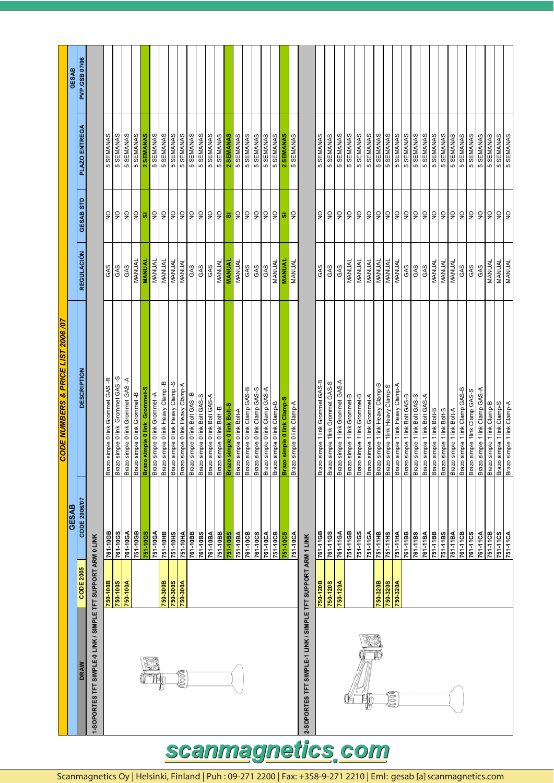|                                                              |                 |              | <b>CODE NUMBERS &amp; PRICE LIST 2006/07</b> |                   |                           |               |                      |
|--------------------------------------------------------------|-----------------|--------------|----------------------------------------------|-------------------|---------------------------|---------------|----------------------|
|                                                              |                 | <b>GESAB</b> |                                              |                   |                           |               | <b>GESAB</b>         |
| DRAW                                                         | CODE 2005       | CODE 2006/07 | <b>DESCRIPTION</b>                           | <b>REGULACIÓN</b> | GESAB STD                 | PLAZO ENTREGA | <b>PVP.GSB 07/06</b> |
| 1-SOPORTES TFT SIMPLE-0 LINK / SIMPLE TFT SUPPORT ARM 0 LINK |                 |              |                                              |                   |                           |               |                      |
|                                                              | 750-100B        | 761-10GB     | Brazo simple 0 link Grommet GAS -B           | GAS               | $\frac{0}{2}$             | 5 SEMANAS     |                      |
|                                                              | <b>750-100S</b> | 761-10GS     | Brazo simple 0 link Grommet GAS -S           | GAS               | ON                        | 5 SEMANAS     |                      |
|                                                              | 750-100A        | 761-10GA     | Brazo simple 0 link Grommet GAS -A           | GAS               | $\frac{1}{2}$             | 5 SEMANAS     |                      |
|                                                              |                 | 751-10GB     | Brazo simple 0 link Grommet -B               | MANUAL            | $\frac{0}{2}$             | 5 SEMANAS     |                      |
|                                                              |                 | 751-10GS     | Brazo simple 0 link Grommet-S                | <b>MANUAI</b>     | ø                         | 2 SEMANAS     |                      |
|                                                              |                 | 751-10GA     | Brazo simple 0 link Grommet -A               | MANUAL            | <b>ON</b>                 | 5 SEMANAS     |                      |
|                                                              | 750-300B        | 751-10HB     | Brazo simple 0 link Heavy Clamp -B           | MANUAL            | ON                        | 5 SEMANAS     |                      |
|                                                              | <b>750-300S</b> | 751-10HS     | Brazo simple 0 link Heavy Clamp -S           | <b>MANUAL</b>     | 22                        | 5 SEMANAS     |                      |
| 0000                                                         | 750-300A        | 751-10HA     | Brazo simple 0 link Heavy Clamp-A            | <b>MANUAL</b>     |                           | 5 SEMANAS     |                      |
|                                                              |                 | 761-10BB     | Brazo simple 0 link Bolt GAS-B               | GAS               |                           | 5 SEMANAS     |                      |
|                                                              |                 | 761-10BS     | Brazo simple 0 link Bolt GAS-S               | GAS               | 22                        | 5 SEMANAS     |                      |
|                                                              |                 | 761-10BA     | Brazo simple 0 link Bolt GAS-A               | GAS               | $\overline{2}$            | 5 SEMANAS     |                      |
|                                                              |                 | 751-10BB     | Brazo simple 0 link Bolt -B                  | MANUAL            | $\mathsf{S}$              | 5 SEMANAS     |                      |
|                                                              |                 | 751-10BS     | Brazo simple 0 link Bolt-S                   | <b>MANUAI</b>     | ø                         | 2 SEMANAS     |                      |
|                                                              |                 | 751-10BA     | Brazo simple 0 link Bolt-A                   | MANUAL            | $\overline{2}$            | 5 SEMANAS     |                      |
|                                                              |                 | 761-10CB     | Brazo simple 0 link Clamp GAS-B              | GAS               | $\mathsf{S}$              | 5 SEMANAS     |                      |
|                                                              |                 | 761-10CS     | Brazo simple 0 link Clamp GAS-S              | GAS               | $\mathsf{S}$              | 5 SEMANAS     |                      |
|                                                              |                 | 761-10CA     | Brazo simple 0 link Clamp GAS-A              | GAS               | $\mathsf{S}$              | 5 SEMANAS     |                      |
|                                                              |                 | 751-10CB     | Brazo simple 0 link Clamp-B                  | MANUAL            | $\overline{2}$            | 5 SEMANAS     |                      |
|                                                              |                 | 751-10CS     | Brazo simple 0 link Clamp-S                  | <b>MANUAL</b>     | $\overline{\mathfrak{a}}$ | 2 SEMANAS     |                      |
|                                                              |                 | 751-10CA     | o simple 0 link Clamp-A<br>Braz              | MANUAL            | ş                         | 5 SEMANAS     |                      |
| 2-SOPORTES TFT SIMPLE-1 LINK / SIMPLE TFT SUPPORT ARM 1 LINK |                 |              |                                              |                   |                           |               |                      |
|                                                              | 750-120B        | 761-11GB     | Brazo simple 1 link Grommet GAS-B            | GAS               | $\overline{\mathsf{z}}$   | 5 SEMANAS     |                      |
|                                                              | 750-120S        | 761-11GS     | Brazo simple 1link Grommet GAS-S             | GAS               | $\mathsf{S}$              | 5 SEMANAS     |                      |
|                                                              | 750-120A        | 761-11GA     | Brazo simple 1 link Grommet GAS-A            | GAS               | $\frac{0}{2}$             | 5 SEMANAS     |                      |
|                                                              |                 | 751-11GB     | Brazo simple 1 link Grommet-B                | MANUAL            | $\frac{1}{2}$             | 5 SEMANAS     |                      |
|                                                              |                 | 751-11GS     | Brazo simple 1 link Grommet-B                | MANUAL            | $\mathsf{S}$              | 5 SEMANAS     |                      |
|                                                              |                 | 751-11GA     | Brazo simple 1 link Grommet-A                | MANUAL            | $\mathsf{S}$              | 5 SEMANAS     |                      |
|                                                              | 750-320B        | 751-11HB     | Brazo simple 1 link Heavy Clamp-B            | MANUAL            | $\mathsf{S}$              | 5 SEMANAS     |                      |
| 0000                                                         | 750-320S        | 751-11HS     | Brazo simple 1link Heavy Clamp-S             | MANUAL            | $\mathsf{S}$              | 5 SEMANAS     |                      |
|                                                              | 750-320A        | 751-11HA     | Brazo simple 1 link Heavy Clamp-A            | MANUAL            | $\mathsf{S}$              | 5 SEMANAS     |                      |
|                                                              |                 | 761-11BB     | Brazo simple 1 link Bolt GAS-B               | GAS               | $\mathsf{S}$              | 5 SEMANAS     |                      |
|                                                              |                 | 761-11BS     | Brazo simple 1 link Bolt GAS-S               | GAS               | $\frac{1}{2}$             | 5 SEMANAS     |                      |
|                                                              |                 | 761-11BA     | Brazo simple 1 link Bolt GAS-A               | GAS               | $\mathsf{S}$              | 5 SEMANAS     |                      |
|                                                              |                 | 751-11BB     | Brazo simple 1 link Bolt-B                   | MANUAL            | $\ensuremath{\mathsf{S}}$ | 5 SEMANAS     |                      |
|                                                              |                 | 751-11BS     | Brazo simple 1 link Bolt-S                   | MANUAL            | $\overline{2}$            | 5 SEMANAS     |                      |
|                                                              |                 | 751-11BA     | Brazo simple 1 link Bolt-A                   | MANUAL            | $\ensuremath{\mathsf{S}}$ | 5 SEMANAS     |                      |
|                                                              |                 | 761-11CB     | Brazo simple 1 link Clamp GAS-B              | GAS               | <b>ON</b>                 | 5 SEMANAS     |                      |
|                                                              |                 | 761-11CS     | Brazo simple 1link Clamp GAS-S               | GAS               | $\ensuremath{\mathsf{S}}$ | 5 SEMANAS     |                      |
|                                                              |                 | 761-11CA     | Brazo simple 1 link Clamp GAS-A              | GAS               | $\epsilon$                | 5 SEMANAS     |                      |
|                                                              |                 | 751-11CB     | Brazo simple 1 link Clamp-B                  | MANUAL            | $\overline{a}$            | 5 SEMANAS     |                      |
|                                                              |                 | 751-11CS     | Brazo simple 1 link Clamp-S                  | MANUAL            | $\mathsf{S}$              | 5 SEMANAS     |                      |
|                                                              |                 | 751-11CA     | Brazo simple 1 link Clamp-A                  | MANUAL            | <b>P</b>                  | 5 SEMANAS     |                      |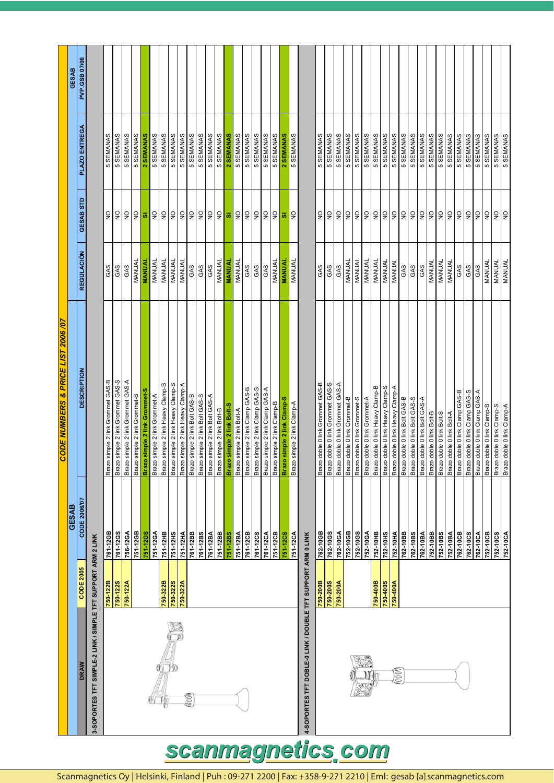|                                                              |           |              | CODE NUMBERS & PRICE LIST 2006 /07     |                   |                                 |               |               |
|--------------------------------------------------------------|-----------|--------------|----------------------------------------|-------------------|---------------------------------|---------------|---------------|
|                                                              |           | <b>GESAB</b> |                                        |                   |                                 |               | <b>GESAB</b>  |
| DRAW                                                         | CODE 2005 | CODE 2006/07 | <b>DESCRIPTION</b>                     | <b>REGULACIÓN</b> | GESAB STD                       | PLAZO ENTREGA | PVP.GSB 07/06 |
| 3-SOPORTES TFT SIMPLE-2 LINK / SIMPLE TFT SUPPORT ARM 2 LINK |           |              |                                        |                   |                                 |               |               |
|                                                              | 750-122B  | 761-12GB     | Brazo simple 2 link Grommet GAS-B      | GAS               | $\frac{0}{2}$                   | 5 SEMANAS     |               |
|                                                              | 750-1228  | 761-12GS     | Brazo simple 2 link Grommet GAS-S      | GAS               | $\frac{\mathsf{O}}{\mathsf{Z}}$ | 5 SEMANAS     |               |
|                                                              | 750-122A  | 756-12GA     | Brazo simple 2 link Grommet GAS-A      | GAS               | $\mathsf{S}$                    | 5 SEMANAS     |               |
|                                                              |           | 751-12GB     | Brazo simple 2 link Grommet-B          | MANUAL            | $\frac{1}{2}$                   | 5 SEMANAS     |               |
|                                                              |           | 751-12GS     | Brazo simple 2 link Grommet-S          | <b>MANUAL</b>     | ø                               | 2 SEMANAS     |               |
|                                                              |           | 751-12GA     | Brazo simple 2 link Grommet-A          | MANUAL            | $\frac{\mathsf{O}}{\mathsf{Z}}$ | 5 SEMANAS     |               |
|                                                              | 750-322B  | 751-12HB     | Brazo simple 2 link Heavy Clamp-B      | MANUAL            | $\frac{\mathsf{O}}{\mathsf{Z}}$ | 5 SEMANAS     |               |
|                                                              | 750-322S  | 751-12HS     | Brazo simple 2 link Heavy Clamp-S      | MANUAL            | $\frac{\mathsf{O}}{\mathsf{Z}}$ | 5 SEMANAS     |               |
|                                                              | 750-322A  | 751-12HA     | Brazo simple 2 link Heavy Clamp-A      | MANUAL            | $\frac{\mathsf{O}}{\mathsf{Z}}$ | 5 SEMANAS     |               |
| <b>BOON</b>                                                  |           | 761-12BB     | Brazo simple 2 link Bolt GAS-B         | GAS               | $\frac{0}{2}$                   | 5 SEMANAS     |               |
|                                                              |           | 761-12BS     | Brazo simple 2 link Bolt GAS-S         | GAS               | $\frac{\mathsf{O}}{\mathsf{Z}}$ | 5 SEMANAS     |               |
|                                                              |           | 761-12BA     | Brazo simple 2 link Bolt GAS-A         | GAS               | $\frac{0}{2}$                   | 5 SEMANAS     |               |
|                                                              |           | 751-12BB     | Brazo simple 2 link Bolt-B             | MANUAL            | $\overline{a}$                  | 5 SEMANAS     |               |
|                                                              |           | 751-12BS     | Brazo simple 2 link Bolt-S             | <b>MANUAL</b>     | ø                               | 2 SEMANAS     |               |
|                                                              |           | 751-12BA     | Brazo simple 2 link Bolt-A             | MANUAL            | $\frac{\mathsf{O}}{\mathsf{Z}}$ | 5 SEMANAS     |               |
|                                                              |           | 761-12CB     | Brazo simple 2 link Clamp GAS-B        | GAS               | ON                              | 5 SEMANAS     |               |
|                                                              |           | 761-12CS     | Brazo simple 2 link Clamp GAS-S        | GAS               | $\ensuremath{\mathsf{S}}$       | 5 SEMANAS     |               |
|                                                              |           | 761-12CA     | Brazo simple 2 link Clamp GAS-A        | GAS               | $\frac{1}{2}$                   | 5 SEMANAS     |               |
|                                                              |           | 751-12CB     | Brazo simple 2 link Clamp-B            | MANUAL            | $\frac{0}{2}$                   | 5 SEMANAS     |               |
|                                                              |           | 751-12CS     | Brazo simple 2 link Clamp-S            | <b>MANUAL</b>     | ø                               | 2 SEMANAS     |               |
|                                                              |           | 751-12CA     | Brazo simple 2 link Clamp-A            | MANUAL            | $\frac{0}{2}$                   | 5 SEMANAS     |               |
| 4-SOPORTES TFT DOBLE-0 LINK / DOUBLE TFT SUPPORT ARM 0 LINK  |           |              |                                        |                   |                                 |               |               |
|                                                              | 750-200B  | 762-10GB     | Brazo doble 0 link Grommet GAS-B       | GAS               | $\frac{1}{2}$                   | 5 SEMANAS     |               |
|                                                              | 750-200S  | 762-10GS     | Brazo doble 0 link Grommet GAS-S       | GAS               | $\frac{0}{2}$                   | 5 SEMANAS     |               |
|                                                              | 750-200A  | 762-10GA     | Brazo doble 0 link Grommet GAS-A       | GAS               | $\frac{0}{2}$                   | 5 SEMANAS     |               |
|                                                              |           | 752-10GB     | Brazo doble 0 link Grommet-B           | MANUAL            | $\frac{0}{2}$                   | 5 SEMANAS     |               |
|                                                              |           | 752-10GS     | Brazo doble 0 link Grommet-S           | MANUAL            | $\frac{\mathsf{O}}{\mathsf{Z}}$ | 5 SEMANAS     |               |
|                                                              |           | 752-10GA     | Brazo doble 0 link Grommet-A           | MANUAL            | $\frac{1}{2}$                   | 5 SEMANAS     |               |
|                                                              | 750-400B  | 752-10HB     | Brazo doble 0 link Heavy Clamp-B       | MANUAL            | $\mathsf{S}$                    | 5 SEMANAS     |               |
|                                                              | 750-400S  | 752-10HS     | Brazo doble 0 link Heavy Clamp-S       | MANUAL            | $\mathsf{S}$                    | 5 SEMANAS     |               |
| 0000                                                         | 750-400A  | 752-10HA     | Brazo doble 0 link Heavy Clamp-A       | MANUAL            | $\mathsf{S}$                    | 5 SEMANAS     |               |
|                                                              |           | 762-10BB     | Brazo doble 0 link Bolt GAS-B          | GAS               | $\mathsf{S}$                    | 5 SEMANAS     |               |
|                                                              |           | 762-10BS     | Brazo doble 0 link Bolt GAS-S          | GAS               | $\mathsf{S}$                    | 5 SEMANAS     |               |
|                                                              |           | 762-10BA     | Brazo doble 0 link Bolt GAS-A          | GAS               | $\frac{1}{2}$                   | 5 SEMANAS     |               |
|                                                              |           | 752-10BB     | Brazo doble 0 link Bolt-B              | MANUAL            | $\mathsf{S}$                    | 5 SEMANAS     |               |
|                                                              |           | 752-10BS     | Brazo doble 0 link Bolt-S              | MANUAL            | $\mathsf{S}$                    | 5 SEMANAS     |               |
|                                                              |           | 752-10BA     | Brazo doble 0 link Bolt-A              | MANUAL            | $\mathsf{S}$                    | 5 SEMANAS     |               |
|                                                              |           | 762-10CB     | Brazo doble 0 link Clamp GAS-B         | GAS               | $\mathsf{S}$                    | 5 SEMANAS     |               |
|                                                              |           | 762-10CS     | Brazo doble 0 link Clamp GAS-S         | GAS               | $\frac{1}{2}$                   | 5 SEMANAS     |               |
|                                                              |           | 762-10CA     | Brazo doble 0 link Clamp GAS-A         | GAS               | $\overline{a}$                  | 5 SEMANAS     |               |
|                                                              |           | 752-10CB     | Brazo doble 0 link Clamp-B             | MANUAL            | $\frac{1}{2}$                   | 5 SEMANAS     |               |
|                                                              |           | 752-10CS     | Brazo doble 0 link Clamp-S             | MANUAL            | $\overline{2}$                  | 5 SEMANAS     |               |
|                                                              |           | 752-10CA     | <del>V</del> -durero viul 0 elqop oze. | MANUAL            | $\overline{2}$                  | 5 SEMANAS     |               |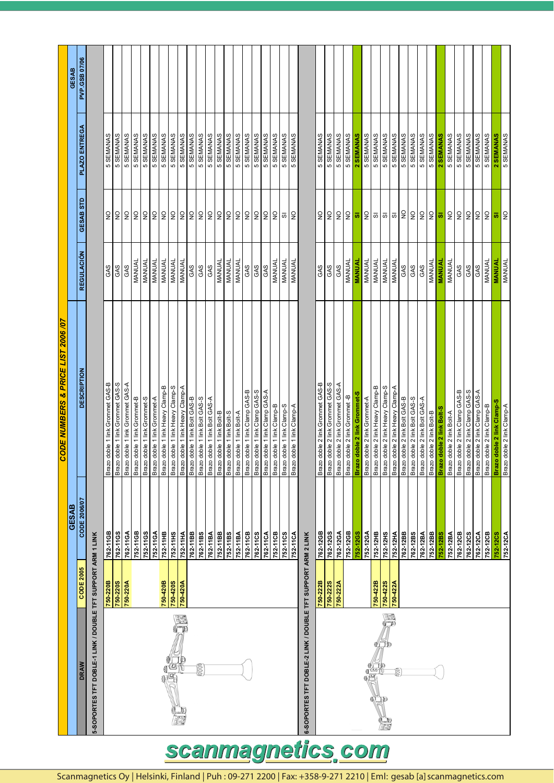|                                               | GESAB        | PVP.GSB 07/06      |                                                             |                                  |                                  |                                  |                              |                              |                              |                                  |                                  |                                      |                               |                               |                               |                           |                           |                           |                                |                                |                                |                            |                            |                            |                                                             |                                  |                                  |                                  |                                |                              |                              |                                  |                                           |                                           |          |                                                                |                               |                           |                           |                           |                                |                                |                                 |                            |                            |                            |
|-----------------------------------------------|--------------|--------------------|-------------------------------------------------------------|----------------------------------|----------------------------------|----------------------------------|------------------------------|------------------------------|------------------------------|----------------------------------|----------------------------------|--------------------------------------|-------------------------------|-------------------------------|-------------------------------|---------------------------|---------------------------|---------------------------|--------------------------------|--------------------------------|--------------------------------|----------------------------|----------------------------|----------------------------|-------------------------------------------------------------|----------------------------------|----------------------------------|----------------------------------|--------------------------------|------------------------------|------------------------------|----------------------------------|-------------------------------------------|-------------------------------------------|----------|----------------------------------------------------------------|-------------------------------|---------------------------|---------------------------|---------------------------|--------------------------------|--------------------------------|---------------------------------|----------------------------|----------------------------|----------------------------|
|                                               |              | PLAZO ENTREGA      |                                                             | 5 SEMANAS                        | 5 SEMANAS                        | 5 SEMANAS                        | 5 SEMANAS                    | 5 SEMANAS                    | 5 SEMANAS                    | 5 SEMANAS                        | 5 SEMANAS                        | 5 SEMANAS<br>5 SEMANAS               |                               | 5 SEMANAS                     | 5 SEMANAS                     | 5 SEMANAS                 | 5 SEMANAS                 | 5 SEMANAS                 | 5 SEMANAS                      | 5 SEMANAS                      | 5 SEMANAS                      | 5 SEMANAS                  | 5 SEMANAS                  | 5 SEMANAS                  |                                                             | 5 SEMANAS                        | 5 SEMANAS                        | 5 SEMANAS                        | 5 SEMANAS                      | 2 SEMANAS                    | 5 SEMANAS                    | 5 SEMANAS                        | 5 SEMANAS                                 | 5 SEMANAS                                 |          | 5 SEMANAS                                                      | 5 SEMANAS                     | 5 SEMANAS                 | 2 SEMANAS                 | 5 SEMANAS                 | 5 SEMANAS                      | 5 SEMANAS                      | 5 SEMANAS                       | 5 SEMANAS                  | 2 SEMANAS                  | 5 SEMANAS                  |
|                                               |              | GESAB STD          |                                                             | $\mathop{\mathsf{S}}\nolimits$   | $\frac{1}{2}$                    | 읽읽읽읽                             |                              |                              |                              |                                  | $\mathsf{S}$                     | ON                                   | $\ensuremath{\mathsf{S}}$     | $\mathop{\mathsf{S}}$         | $\mathsf{S}$                  | ON                        | $\ensuremath{\mathsf{S}}$ | ON                        | $\mathop{\mathsf{S}}\nolimits$ | $\frac{0}{2}$                  | $\frac{1}{2}$                  | $\frac{0}{2}$              | $\overline{\rm o}$         | $\frac{1}{2}$              |                                                             | $\frac{\mathsf{O}}{\mathsf{Z}}$  | $\mathop{\mathsf{S}}$            | $\frac{0}{2}$                    | ON                             | $\overline{\omega}$          | $\overline{2}$               | $\overline{\omega}$              | $\overline{\omega}$   $\overline{\omega}$ |                                           |          | 29                                                             |                               | $rac{1}{2}$               | ø                         | $\mathsf{S}$              | $\mathsf{S}$                   | $\mathsf{S}$                   | $\frac{\mathsf{O}}{\mathsf{Z}}$ | $\frac{0}{2}$              | $\overline{\omega}$        | $\frac{1}{2}$              |
|                                               |              | <b>REGULACIÓN</b>  |                                                             | GAS                              | GAS                              | GAS                              | MANUAL                       | <b>MANUAL</b>                | MANUAL                       | MANUAL                           | <b>MANUAL</b>                    | MANUAL                               | GAS                           | GAS                           | GAS                           | MANUAL                    | MANUAL                    | MANUAL                    | GAS                            | GAS                            | GAS                            | MANUAL                     | MANUAL                     | <b>MANUAL</b>              |                                                             | GAS                              | GAS                              | GAS                              | MANUAL                         | <b>MANUAL</b>                | <b>MANUAL</b>                | MANUAL                           | MANUAL                                    | <b>MANUAL</b>                             | GAS      | <b>GAS</b>                                                     | GAS                           | <b>MANUAL</b>             | <b>MANUAL</b>             | MANUAL                    | GAS                            | GAS                            | GAS                             | MANUAL                     | <b>MANUAL</b>              | <b>MANUAL</b>              |
| <b>CODE NUMBERS &amp; PRICE LIST 2006 /07</b> |              | <b>DESCRIPTION</b> |                                                             | Brazo doble 1 link Grommet GAS-B | Brazo doble 1 link Grommet GAS-S | Brazo doble 1 link Grommet GAS-A | Brazo doble 1 link Grommet-B | Brazo doble 1 link Grommet-S | Brazo doble 1 link Grommet-A | Brazo doble 1 link Heavy Clamp-B | Brazo doble 1 link Heavy Clamp-S | A-qmal<br>O viseH xill t aldob ozara | Brazo doble 1 link Bolt GAS-B | Brazo doble 1 link Bolt GAS-S | Brazo doble 1 link Bolt GAS-A | Brazo doble 1 link Bolt-B | Brazo doble 1 link Bolt-S | Brazo doble 1 link Bolt-A | Brazo doble 1 link Clamp GAS-B | Brazo doble 1 link Clamp GAS-S | Brazo doble 1 link Clamp GAS-A | Brazo doble 1 link Clamp-B | Brazo doble 1 link Clamp-S | Brazo doble 1 link Clamp-A |                                                             | Brazo doble 2 link Grommet GAS-B | Brazo doble 2 link Grommet GAS-S | Brazo doble 2 link Grommet GAS-A | Brazo doble 2 link Grommet - B | Brazo doble 2 link Grommet-S | Brazo doble 2 link Grommet-A | Brazo doble 2 link Heavy Clamp-B | S-durel CheeH Yull Z eldop ozer           | A-qmal<br>O doble 2 link Heavy Clamp<br>A |          | Brazo doble 2 link Bolt GAS-B<br>Brazo doble 2 link Bolt GAS-S | Brazo doble 2 link Bolt GAS-A | Brazo doble 2 link Bolt-B | Brazo doble 2 link Bolt-S | Brazo doble 2 link Bolt-A | Brazo doble 2 link Clamp GAS-B | Brazo doble 2 link Clamp GAS-S | Brazo doble 2 link Clamp GAS-A  | Brazo doble 2 link Clamp-B | Brazo doble 2 link Clamp-S | Brazo doble 2 link Clamp-A |
|                                               | <b>GESAB</b> | CODE 2006/07       |                                                             | 762-11GB                         | 762-11GS                         | 762-11GA                         | 752-11GB                     | 752-11GS                     | 752-11GA                     | 752-11HB                         | 752-11HS                         | 752-11HA                             | 762-11BB                      | 762-11BS                      | 762-11BA                      | 752-11BB                  | 752-11BS                  | 752-11BA                  | 762-11CB                       | 762-11CS                       | 762-11CA                       | 752-11CB                   | 752-11CS                   | 752-11CA                   |                                                             | 762-12GB                         | 762-12GS                         | 762-12GA                         | 752-12GB                       | 752-12GS                     | 752-12GA                     | 752-12HB                         | 752-12HS                                  | 752-12HA                                  | 762-12BB | 762-12BS                                                       | 762-12BA                      | 752-12BB                  | 752-12BS                  | 752-12BA                  | 762-12CB                       | 762-12CS                       | 762-12CA                        | 752-12CB                   | <b>752-12CS</b>            |                            |
|                                               |              | <b>CODE 2005</b>   |                                                             | 750-220B                         | <b>750-220S</b>                  | 750-220A                         |                              |                              |                              | 750-420B                         | 750-420S                         | 750-420A                             |                               |                               |                               |                           |                           |                           |                                |                                |                                |                            |                            |                            |                                                             | 750-222B                         | 750-222S                         | 750-222A                         |                                |                              |                              | 750-422B                         | 750-422S                                  | 750-422A                                  |          |                                                                |                               |                           |                           |                           |                                |                                |                                 |                            |                            |                            |
|                                               |              | DRAW               | 5-SOPORTES TFT DOBLE-1 LINK / DOUBLE TFT SUPPORT ARM 1 LINK |                                  |                                  |                                  |                              |                              |                              |                                  | Ø                                |                                      |                               | 0000                          |                               |                           |                           |                           |                                |                                |                                |                            |                            |                            | 6-SOPORTES TFT DOBLE-2 LINK / DOUBLE TFT SUPPORT ARM 2 LINK |                                  |                                  |                                  |                                |                              | 19<br>19                     | y tip<br>Ke                      | F                                         |                                           |          |                                                                |                               |                           |                           |                           |                                |                                |                                 |                            |                            |                            |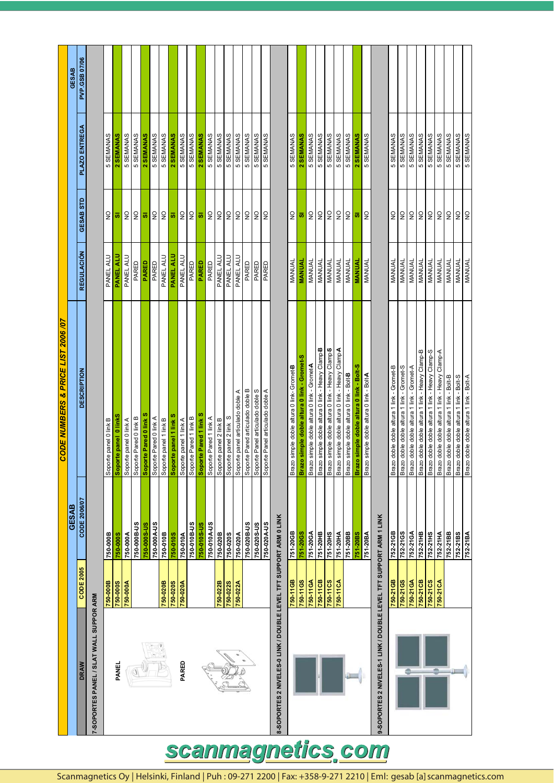|                                                                   |                  |                     | CODE NUMBERS & PRICE LIST 2006 /07                                                   |                  |                                  |               |               |
|-------------------------------------------------------------------|------------------|---------------------|--------------------------------------------------------------------------------------|------------------|----------------------------------|---------------|---------------|
|                                                                   |                  | <b>GESAB</b>        |                                                                                      |                  |                                  |               | <b>GESAB</b>  |
| <b>DRAW</b>                                                       | <b>CODE 2005</b> | <b>CODE 2006/07</b> | <b>DESCRIPTION</b>                                                                   | REGULACIÓN       | GESAB STD                        | PLAZO ENTREGA | PVP.GSB 07/06 |
| 7-SOPORTES PANEL / SLAT WALL SUPPOR ARM                           |                  |                     |                                                                                      |                  |                                  |               |               |
|                                                                   | 750-000B         | 750-000B            | Soporte panel 0 link B                                                               | PANEL ALU        | $\frac{0}{2}$                    | 5 SEMANAS     |               |
| PANEL                                                             | 750-000S         | 750-000S            | Soporte panel 0 linkS                                                                | PANEL ALU        | ø                                | 2 SEMANAS     |               |
|                                                                   | 750-000A         | 750-000A            | Soporte panel 0 link A                                                               | PANEL ALU        | $\frac{0}{2}$                    | 5 SEMANAS     |               |
|                                                                   |                  | 750-000B-US         | Soporte Pared 0 link B                                                               | PARED            | $\frac{0}{2}$                    | 5 SEMANAS     |               |
|                                                                   |                  | 750-000S-US         | Soporte Pared 0 link                                                                 | <b>PARED</b>     | ø                                | 2 SEMANAS     |               |
|                                                                   |                  | 750-000A-US         | Soporte Pared 0 link A                                                               | PARED            | $\frac{0}{2}$                    | 5 SEMANAS     |               |
|                                                                   | 750-020B         | 750-010B            | Soporte panel 1 link B                                                               | PANEL ALU        | $\frac{0}{2}$                    | 5 SEMANAS     |               |
|                                                                   | 750-020S         | 750-010S            | Soporte panel 1 link S                                                               | <b>PANEL ALU</b> | $\overline{\boldsymbol{\omega}}$ | 2 SEMANAS     |               |
| PARED                                                             | 750-020A         | 750-010A            | Soporte panel 1 link A                                                               | PANEL ALU        | $\frac{0}{2}$                    | 5 SEMANAS     |               |
|                                                                   |                  | 750-010B-US         | Soporte Pared 1 link B                                                               | PARED            | $\frac{0}{2}$                    | 5 SEMANAS     |               |
|                                                                   |                  | 750-010S-US         | Soporte Pared 1 link 9                                                               | PARED            | ø                                | 2 SEMANAS     |               |
|                                                                   |                  | 750-010A-US         | Soporte Pared 1 link A                                                               | PARED            | $\frac{0}{2}$                    | 5 SEMANAS     |               |
|                                                                   | 750-022B         | 750-020B            | Soporte panel 2 link B                                                               | PANEL ALU        | $\frac{0}{2}$                    | 5 SEMANAS     |               |
|                                                                   | 750-022S         | 750-020S            | Soporte panel 2 link S                                                               | PANEL ALU        | $\ensuremath{\mathsf{S}}$        | 5 SEMANAS     |               |
|                                                                   | 750-022A         | 750-020A            | Soporte panel articulado doble A                                                     | PANEL ALU        | $\frac{0}{2}$                    | 5 SEMANAS     |               |
|                                                                   |                  | 750-020B-US         | Soporte Pared articulado doble B                                                     | PARED            | $\frac{1}{2}$                    | 5 SEMANAS     |               |
|                                                                   |                  | 750-020S-US         | Soporte Panel articulado doble S                                                     | PARED            | $\frac{\mathsf{O}}{\mathsf{Z}}$  | 5 SEMANAS     |               |
|                                                                   |                  | 750-020A-US         | Soporte Panel articulado doble A                                                     | PARED            | $\frac{0}{2}$                    | 5 SEMANAS     |               |
| 8-SOPORTES 2 NIVELES-0 LINK / DOUBLE LEVEL TFT SUPPORT ARM 0 LINK |                  |                     |                                                                                      |                  |                                  |               |               |
|                                                                   | 750-11GB         | 751-20GB            | Brazo simple doble altura 0 link- Gromet-B                                           | MANUAL           | $\frac{0}{2}$                    | 5 SEMANAS     |               |
|                                                                   | 750-11GS         | 751-20GS            | Brazo simple doble altura 0 link - Gromet-                                           | <b>MANUAL</b>    | ø                                | 2 SEMANAS     |               |
|                                                                   | 750-11GA         | 751-20GA            | Brazo simple doble altura 0 link - GrometA                                           | MANUAL           | $\frac{0}{2}$                    | 5 SEMANAS     |               |
|                                                                   | 750-11CB         | 251-20HB            |                                                                                      |                  |                                  |               |               |
|                                                                   |                  |                     | Brazo simple doble altura 0 link - Heavy Clamp <sup>B</sup>                          | MANUAL           | $\mathsf{S}$                     | 5 SEMANAS     |               |
|                                                                   | 750-11CS         | 751-20HS            | Brazo simple doble altura 0 link - Heavy Clamp-S                                     | MANUAL           | $\frac{\mathsf{O}}{\mathsf{Z}}$  | 5 SEMANAS     |               |
|                                                                   | 750-11CA         | 751-20HA            | Brazo simple doble altura 0 link - Heavy ClampA                                      | MANUAL           | $\mathsf{S}$                     | 5 SEMANAS     |               |
|                                                                   |                  | 751-20BB            | Brazo simple doble altura 0 link - Bolt-B                                            | MANUAL           | $\frac{1}{2}$                    | 5 SEMANAS     |               |
|                                                                   |                  | 751-20BS            | Brazo simple doble altura 0 link - Bolt-S                                            | <b>MANUAL</b>    | ø                                | 2 SEMANAS     |               |
|                                                                   |                  | 751-20BA            | Brazo simple doble altura 0 link - BoltA                                             | MANUAL           | $\frac{1}{2}$                    | 5 SEMANAS     |               |
| 9-SOPORTES 2 NIVELES-1 LINK / DOUBLE LEVEL TFT SUPPORT ARM 1 LINK |                  |                     |                                                                                      |                  |                                  |               |               |
|                                                                   | 750-21GB         | 752-21GB            | Brazo doble doble altura 1 link - Gromet-B                                           | MANUAL           | $\frac{0}{2}$                    | 5 SEMANAS     |               |
|                                                                   | 750-21GS         | 752-21GS            | Brazo doble doble altura 1 link - Gromet-S                                           | MANUAL           | $\frac{0}{2}$                    | 5 SEMANAS     |               |
|                                                                   | 750-21GA         | 752-21GA            | Rrazo doble doble altura 1 link - Gromet-A                                           | <b>MANUAL</b>    | $\frac{\mathsf{O}}{\mathsf{Z}}$  | 5 SEMANAS     |               |
|                                                                   | 750-21CB         | 752-21HB            | Brazo doble doble altura 1 link - Heavy Clamp-B                                      | MANUAL           | $\frac{0}{2}$                    | 5 SEMANAS     |               |
|                                                                   | 750-21CS         | 752-21HS            | Brazo doble doble altura 1 link - Heavy Clamp-S                                      | MANUAL           | $\frac{0}{2}$                    | 5 SEMANAS     |               |
|                                                                   | 750-21CA         | 752-21HA            | Brazo doble doble altura 1 link - Heavy Clamp-A                                      | MANUAL           | $\frac{\mathsf{O}}{\mathsf{Z}}$  | 5 SEMANAS     |               |
|                                                                   |                  | 752-21BB            | Brazo doble doble altura 1 link - Bolt-B                                             | MANUAL           | $\frac{0}{2}$                    | 5 SEMANAS     |               |
|                                                                   |                  | 752-21BS            |                                                                                      | MANUAL           | $\frac{0}{2}$                    | 5 SEMANAS     |               |
|                                                                   |                  | 752-21BA            | Brazo doble doble altura 1 link - Bolt-S<br>Brazo doble doble altura 1 link - Bolt-A | <b>MANUAL</b>    | $\frac{0}{2}$                    | 5 SEMANAS     |               |